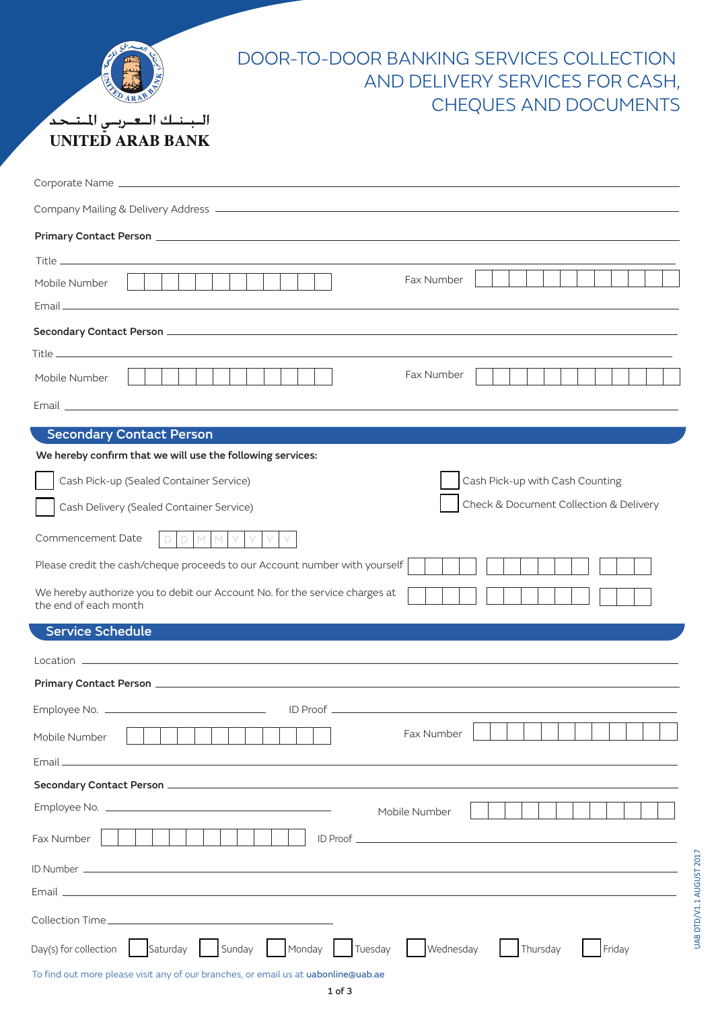| DOOR-TO-DOOR BANKING SERVICES COLLECTION<br>AND DELIVERY SERVICES FOR CASH,<br><b>CHEQUES AND DOCUMENTS</b><br>البنك العربس المتحد<br><b>UNITED ARAB BANK</b> |
|---------------------------------------------------------------------------------------------------------------------------------------------------------------|
|                                                                                                                                                               |
|                                                                                                                                                               |
|                                                                                                                                                               |
| Fax Number<br>Mobile Number                                                                                                                                   |
|                                                                                                                                                               |
|                                                                                                                                                               |
| Fax Number<br>Mobile Number                                                                                                                                   |
|                                                                                                                                                               |
| <b>Secondary Contact Person</b>                                                                                                                               |
| We hereby confirm that we will use the following services:                                                                                                    |
| Cash Pick-up (Sealed Container Service)<br>Cash Pick-up with Cash Counting                                                                                    |
| Check & Document Collection & Delivery<br>Cash Delivery (Sealed Container Service)                                                                            |
| Commencement Date<br>M<br>M.                                                                                                                                  |
| Please credit the cash/cheque proceeds to our Account number with yourself                                                                                    |
| We hereby authorize you to debit our Account No. for the service charges at<br>the end of each month                                                          |
| <b>Service Schedule</b>                                                                                                                                       |
|                                                                                                                                                               |
|                                                                                                                                                               |
|                                                                                                                                                               |
| Fax Number<br>Mobile Number                                                                                                                                   |
| and the control of the control of the control of the control of the control of the control of the control of the<br>Email                                     |
|                                                                                                                                                               |
| Mobile Number                                                                                                                                                 |
| Fax Number                                                                                                                                                    |
|                                                                                                                                                               |
| <u> 1989 - Johann Barn, amerikansk politiker (d. 1989)</u><br>Email _                                                                                         |
|                                                                                                                                                               |
| Saturday<br>Sunday<br>Monday<br>Wednesday<br>Day(s) for collection<br>Tuesday<br>Thursday<br>Friday                                                           |

To find out more please visit any of our branches, or email us at uabonline@uab.ae

UAB DTD/V1.1 AUGUST 2017

UAB DTD/V1.1 AUGUST 2017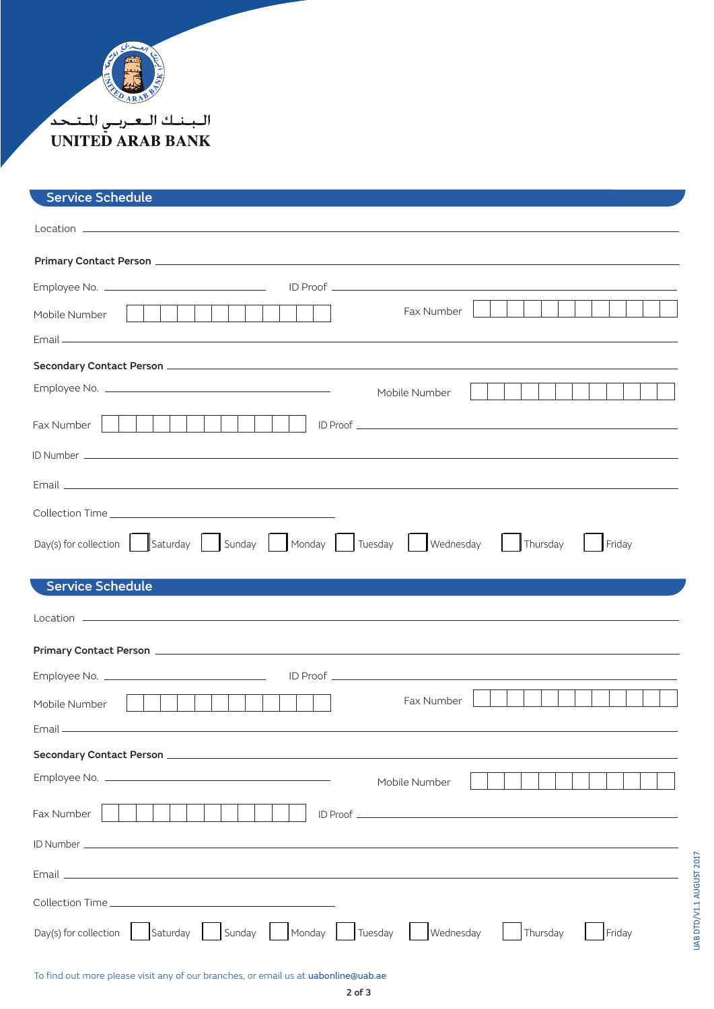

## البسنسك البعيريسي المتنجد **UNITED ARAB BANK**

## Service Schedule

| Fax Number<br>Mobile Number                                                                                                                                                                                                   |
|-------------------------------------------------------------------------------------------------------------------------------------------------------------------------------------------------------------------------------|
|                                                                                                                                                                                                                               |
|                                                                                                                                                                                                                               |
| Mobile Number                                                                                                                                                                                                                 |
| Fax Number                                                                                                                                                                                                                    |
|                                                                                                                                                                                                                               |
| Email and the contract of the contract of the contract of the contract of the contract of the contract of the contract of the contract of the contract of the contract of the contract of the contract of the contract of the |
|                                                                                                                                                                                                                               |
| Day(s) for collection   Saturday   Sunday   Monday   Tuesday   Wednesday<br>  Thursday<br>Friday                                                                                                                              |
| <b>Service Schedule</b>                                                                                                                                                                                                       |
|                                                                                                                                                                                                                               |
|                                                                                                                                                                                                                               |
|                                                                                                                                                                                                                               |
|                                                                                                                                                                                                                               |
| Fax Number<br>Mobile Number                                                                                                                                                                                                   |
|                                                                                                                                                                                                                               |
| Secondary Contact Person                                                                                                                                                                                                      |
| Mobile Number                                                                                                                                                                                                                 |
| Fax Number                                                                                                                                                                                                                    |
|                                                                                                                                                                                                                               |
|                                                                                                                                                                                                                               |
|                                                                                                                                                                                                                               |

To find out more please visit any of our branches, or email us at uabonline@uab.ae

UAB DTD/V1.1 AUGUST 2017

UAB DTD/V1.1 AUGUST 2017